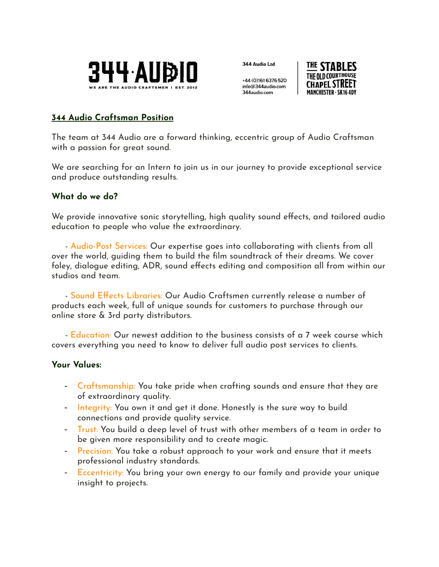

344 Audio Ltd

+44 (0)161 6376 520 info@344audio.com 344 audio com



## **344 Audio Craftsman Position**

The team at 344 Audio are a forward thinking, eccentric group of Audio Craftsman with a passion for great sound.

We are searching for an Intern to join us in our journey to provide exceptional service and produce outstanding results.

## **What do we do?**

We provide innovative sonic storytelling, high quality sound effects, and tailored audio education to people who value the extraordinary.

- Audio-Post Services: Our expertise goes into collaborating with clients from all over the world, guiding them to build the film soundtrack of their dreams. We cover foley, dialogue editing, ADR, sound effects editing and composition all from within our studios and team.

- Sound Effects Libraries: Our Audio Craftsmen currently release a number of products each week, full of unique sounds for customers to purchase through our online store & 3rd party distributors.

- Education: Our newest addition to the business consists of a 7 week course which covers everything you need to know to deliver full audio post services to clients.

#### **Your Values:**

- Craftsmanship: You take pride when crafting sounds and ensure that they are of extraordinary quality.
- Integrity: You own it and get it done. Honestly is the sure way to build connections and provide quality service.
- Trust: You build a deep level of trust with other members of a team in order to be given more responsibility and to create magic.
- Precision: You take a robust approach to your work and ensure that it meets professional industry standards.
- Eccentricity: You bring your own energy to our family and provide your unique insight to projects.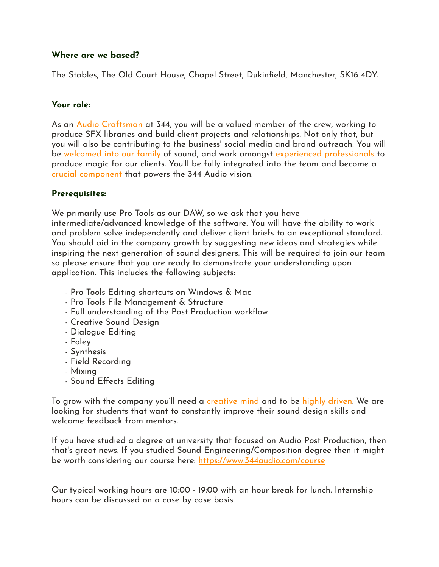### **Where are we based?**

The Stables, The Old Court House, Chapel Street, Dukinfield, Manchester, SK16 4DY.

#### **Your role:**

As an Audio Craftsman at 344, you will be a valued member of the crew, working to produce SFX libraries and build client projects and relationships. Not only that, but you will also be contributing to the business' social media and brand outreach. You will be welcomed into our family of sound, and work amongst experienced professionals to produce magic for our clients. You'll be fully integrated into the team and become a crucial component that powers the 344 Audio vision.

### **Prerequisites:**

We primarily use Pro Tools as our DAW, so we ask that you have intermediate/advanced knowledge of the software. You will have the ability to work and problem solve independently and deliver client briefs to an exceptional standard. You should aid in the company growth by suggesting new ideas and strategies while inspiring the next generation of sound designers. This will be required to join our team so please ensure that you are ready to demonstrate your understanding upon application. This includes the following subjects:

- Pro Tools Editing shortcuts on Windows & Mac
- Pro Tools File Management & Structure
- Full understanding of the Post Production workflow
- Creative Sound Design
- Dialogue Editing
- Foley
- Synthesis
- Field Recording
- Mixing
- Sound Effects Editing

To grow with the company you'll need a creative mind and to be highly driven. We are looking for students that want to constantly improve their sound design skills and welcome feedback from mentors.

If you have studied a degree at university that focused on Audio Post Production, then that's great news. If you studied Sound Engineering/Composition degree then it might be worth considering our course here: <https://www.344audio.com/course>

Our typical working hours are 10:00 - 19:00 with an hour break for lunch. Internship hours can be discussed on a case by case basis.